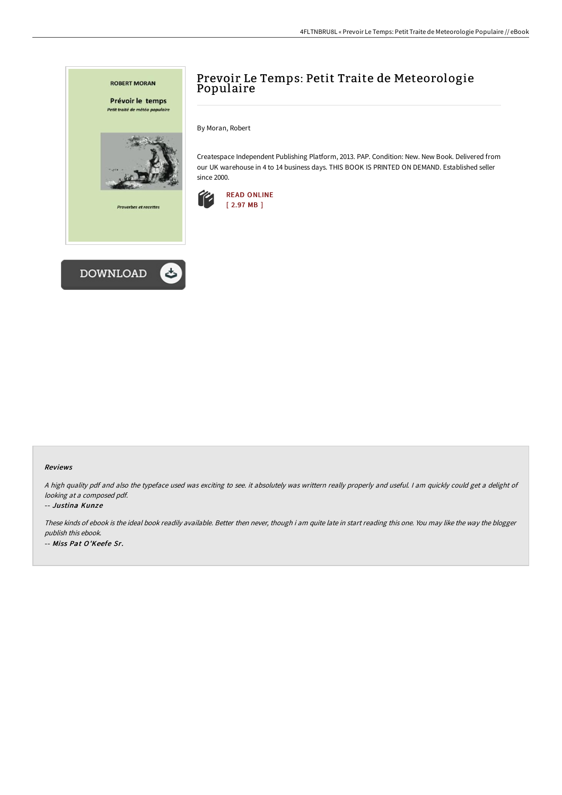

## Prevoir Le Temps: Petit Traite de Meteorologie Populaire

By Moran, Robert

Createspace Independent Publishing Platform, 2013. PAP. Condition: New. New Book. Delivered from our UK warehouse in 4 to 14 business days. THIS BOOK IS PRINTED ON DEMAND. Established seller since 2000.



## Reviews

<sup>A</sup> high quality pdf and also the typeface used was exciting to see. it absolutely was writtern really properly and useful. <sup>I</sup> am quickly could get <sup>a</sup> delight of looking at <sup>a</sup> composed pdf.

## -- Justina Kunze

These kinds of ebook is the ideal book readily available. Better then never, though i am quite late in start reading this one. You may like the way the blogger publish this ebook. -- Miss Pat O'Keefe Sr.